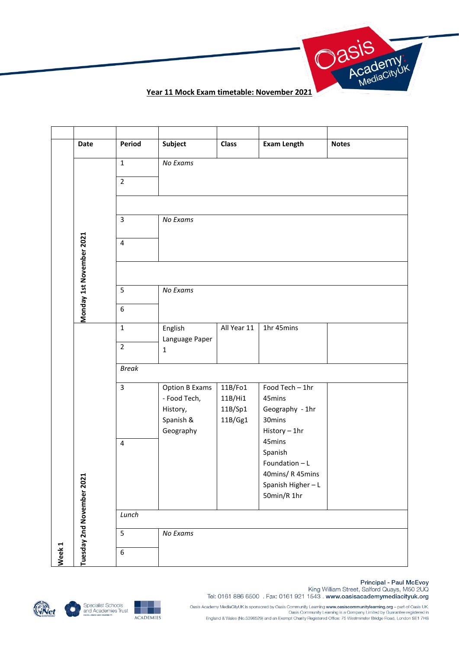

|                   | Date                      | Period                  | Subject                        | <b>Class</b>       | <b>Exam Length</b>        | <b>Notes</b> |
|-------------------|---------------------------|-------------------------|--------------------------------|--------------------|---------------------------|--------------|
|                   |                           | $\mathbf 1$             | No Exams                       |                    |                           |              |
|                   |                           | $\overline{2}$          |                                |                    |                           |              |
|                   |                           |                         |                                |                    |                           |              |
|                   |                           | 3                       | No Exams                       |                    |                           |              |
|                   |                           | $\overline{\mathbf{4}}$ |                                |                    |                           |              |
|                   |                           |                         |                                |                    |                           |              |
|                   | Monday 1st November 2021  |                         |                                |                    |                           |              |
|                   |                           | 5                       | No Exams                       |                    |                           |              |
|                   |                           | 6                       |                                |                    |                           |              |
|                   |                           | $\mathbf{1}$            | English                        | All Year 11        | 1hr 45mins                |              |
|                   |                           | $\overline{2}$          | Language Paper<br>$\mathbf{1}$ |                    |                           |              |
|                   |                           |                         |                                |                    |                           |              |
|                   |                           | <b>Break</b>            |                                |                    |                           |              |
|                   |                           | $\overline{\mathbf{3}}$ | Option B Exams                 | 11B/Fo1            | Food Tech - 1hr           |              |
|                   |                           |                         | - Food Tech,<br>History,       | 11B/Hi1<br>11B/Sp1 | 45mins<br>Geography - 1hr |              |
|                   |                           |                         | Spanish &                      | 11B/Gg1            | 30mins                    |              |
|                   |                           |                         | Geography                      |                    | History - 1hr             |              |
|                   |                           | $\overline{\mathbf{4}}$ |                                |                    | 45mins<br>Spanish         |              |
|                   |                           |                         |                                |                    | Foundation - L            |              |
|                   |                           |                         |                                |                    | 40mins/R 45mins           |              |
|                   |                           |                         |                                |                    | Spanish Higher-L          |              |
|                   |                           |                         |                                |                    | 50min/R 1hr               |              |
|                   |                           | Lunch                   |                                |                    |                           |              |
|                   |                           | 5                       | No Exams                       |                    |                           |              |
| Week <sub>1</sub> | Tuesday 2nd November 2021 | 6                       |                                |                    |                           |              |







Principal - Paul McEvoy<br>King William Street, Salford Quays, M50 2UQ Tel: 0161 886 6500 . Fax: 0161 921 1543 . www.oasisacademymediacityuk.org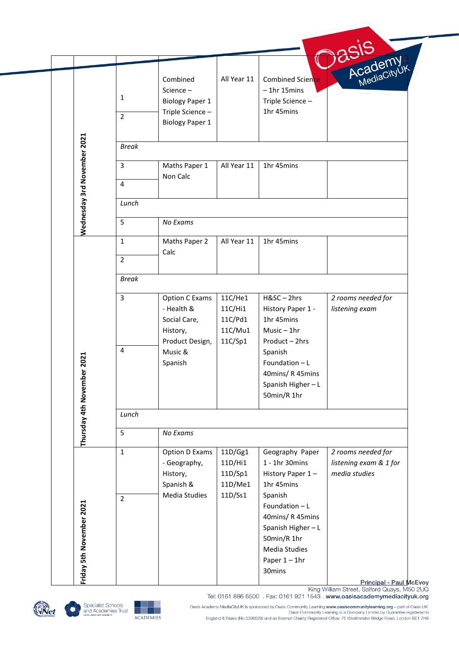|                            |                             |                         |                        |             |                                    | ASIS<br>Academy         |  |  |  |
|----------------------------|-----------------------------|-------------------------|------------------------|-------------|------------------------------------|-------------------------|--|--|--|
|                            |                             |                         | Combined               | All Year 11 | Combined Science                   |                         |  |  |  |
|                            |                             |                         | Science-               |             | $-1$ hr 15 $m$ ins                 |                         |  |  |  |
|                            |                             | 1                       | <b>Biology Paper 1</b> |             | Triple Science-                    |                         |  |  |  |
|                            |                             |                         | Triple Science-        |             | 1hr 45mins                         |                         |  |  |  |
|                            |                             | $\overline{2}$          | <b>Biology Paper 1</b> |             |                                    |                         |  |  |  |
|                            |                             |                         |                        |             |                                    |                         |  |  |  |
|                            | Wednesday 3rd November 2021 | <b>Break</b>            |                        |             |                                    |                         |  |  |  |
|                            |                             | 3                       | Maths Paper 1          | All Year 11 | 1hr 45mins                         |                         |  |  |  |
|                            |                             | $\overline{\mathbf{4}}$ | Non Calc               |             |                                    |                         |  |  |  |
|                            |                             |                         |                        |             |                                    |                         |  |  |  |
|                            |                             | Lunch                   |                        |             |                                    |                         |  |  |  |
|                            |                             | 5                       | No Exams               |             |                                    |                         |  |  |  |
|                            |                             | $\mathbf{1}$            | Maths Paper 2          | All Year 11 | 1hr 45mins                         |                         |  |  |  |
|                            |                             | $\overline{2}$          | Calc                   |             |                                    |                         |  |  |  |
|                            |                             |                         |                        |             |                                    |                         |  |  |  |
|                            |                             | <b>Break</b>            |                        |             |                                    |                         |  |  |  |
|                            |                             | $\overline{3}$          | Option C Exams         | 11C/He1     | H&SC-2hrs                          | 2 rooms needed for      |  |  |  |
|                            |                             |                         | - Health &             | 11C/Hi1     | History Paper 1 -                  | listening exam          |  |  |  |
|                            |                             |                         | Social Care,           | 11C/Pd1     | 1hr 45mins                         |                         |  |  |  |
|                            |                             |                         | History,               | 11C/Mu1     | $Music - 1hr$                      |                         |  |  |  |
|                            |                             | $\overline{4}$          | Product Design,        | 11C/Sp1     | Product - 2hrs                     |                         |  |  |  |
|                            |                             |                         | Music &                |             | Spanish                            |                         |  |  |  |
|                            |                             |                         | Spanish                |             | Foundation - L                     |                         |  |  |  |
|                            |                             |                         |                        |             | 40mins/R45mins<br>Spanish Higher-L |                         |  |  |  |
|                            |                             |                         |                        |             | 50min/R 1hr                        |                         |  |  |  |
| Thursday 4th November 2021 |                             | Lunch                   |                        |             |                                    |                         |  |  |  |
|                            |                             |                         |                        |             |                                    |                         |  |  |  |
|                            |                             | 5                       | No Exams               |             |                                    |                         |  |  |  |
|                            |                             | $\mathbf{1}$            | Option D Exams         | 11D/Gg1     | Geography Paper                    | 2 rooms needed for      |  |  |  |
|                            |                             |                         | - Geography,           | 11D/Hi1     | 1 - 1hr 30mins                     | listening exam & 1 for  |  |  |  |
|                            |                             |                         | History,               | 11D/Sp1     | History Paper 1-                   | media studies           |  |  |  |
|                            |                             |                         | Spanish &              | 11D/Me1     | 1hr 45mins                         |                         |  |  |  |
|                            |                             | $\overline{2}$          | Media Studies          | 11D/Ss1     | Spanish                            |                         |  |  |  |
|                            |                             |                         |                        |             | Foundation - L                     |                         |  |  |  |
|                            |                             |                         |                        |             | 40mins/R 45mins                    |                         |  |  |  |
|                            |                             |                         |                        |             | Spanish Higher-L                   |                         |  |  |  |
|                            |                             |                         |                        |             | 50min/R 1hr<br>Media Studies       |                         |  |  |  |
|                            |                             |                         |                        |             | Paper $1 - 1$ hr                   |                         |  |  |  |
|                            | Friday 5th November 2021    |                         |                        |             | 30mins                             |                         |  |  |  |
|                            |                             |                         |                        |             |                                    | Principal - Paul McEvoy |  |  |  |





**ACADEMIES**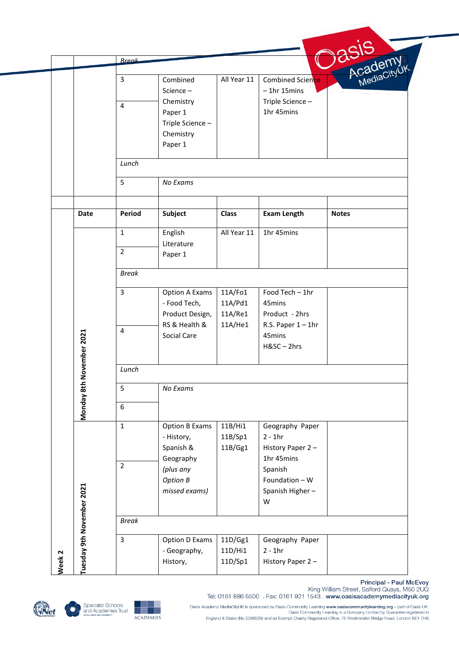|                   |                           | <b>Break</b>   |                       |              |                       |                        |
|-------------------|---------------------------|----------------|-----------------------|--------------|-----------------------|------------------------|
|                   |                           |                |                       |              |                       |                        |
|                   |                           | $\overline{3}$ | Combined              | All Year 11  | Combined Science      | Academy<br>MediaCityUK |
|                   |                           |                | Science-              |              | $-1$ hr 15 $m$ ins    |                        |
|                   |                           | $\overline{4}$ | Chemistry             |              | Triple Science -      |                        |
|                   |                           |                | Paper 1               |              | 1hr 45mins            |                        |
|                   |                           |                | Triple Science -      |              |                       |                        |
|                   |                           |                | Chemistry             |              |                       |                        |
|                   |                           |                | Paper 1               |              |                       |                        |
|                   |                           | Lunch          |                       |              |                       |                        |
|                   |                           | 5              | No Exams              |              |                       |                        |
|                   |                           |                |                       |              |                       |                        |
|                   | <b>Date</b>               | Period         | Subject               | <b>Class</b> | <b>Exam Length</b>    | <b>Notes</b>           |
|                   |                           | $\mathbf{1}$   | English               | All Year 11  | 1hr 45mins            |                        |
|                   |                           | $\overline{2}$ | Literature            |              |                       |                        |
|                   |                           |                | Paper 1               |              |                       |                        |
|                   |                           | <b>Break</b>   |                       |              |                       |                        |
|                   |                           | $\overline{3}$ | Option A Exams        | 11A/Fo1      | Food Tech - 1hr       |                        |
|                   |                           |                | - Food Tech,          | 11A/Pd1      | 45mins                |                        |
|                   |                           |                | Product Design,       | 11A/Re1      | Product - 2hrs        |                        |
|                   |                           |                | RS & Health &         | 11A/He1      | R.S. Paper $1 - 1$ hr |                        |
|                   |                           | 4              | Social Care           |              | 45mins                |                        |
|                   |                           |                |                       |              | H&SC-2hrs             |                        |
|                   | November 2021             | Lunch          |                       |              |                       |                        |
|                   |                           | 5              | No Exams              |              |                       |                        |
|                   | Monday 8th                | 6              |                       |              |                       |                        |
|                   |                           | $\mathbf{1}$   | <b>Option B Exams</b> | 11B/Hi1      | Geography Paper       |                        |
|                   |                           |                | - History,            | 11B/Sp1      | $2 - 1hr$             |                        |
|                   |                           |                | Spanish &             | 11B/Gg1      | History Paper 2-      |                        |
|                   |                           |                | Geography             |              | 1hr 45mins            |                        |
|                   |                           | $\overline{2}$ | (plus any             |              | Spanish               |                        |
|                   |                           |                | <b>Option B</b>       |              | Foundation - W        |                        |
|                   |                           |                | missed exams)         |              | Spanish Higher-       |                        |
|                   |                           |                |                       |              | W                     |                        |
|                   | Tuesday 9th November 2021 | <b>Break</b>   |                       |              |                       |                        |
|                   |                           | 3              | Option D Exams        | 11D/Gg1      | Geography Paper       |                        |
|                   |                           |                | - Geography,          | 11D/Hi1      | $2 - 1hr$             |                        |
| Week <sub>2</sub> |                           |                |                       |              |                       |                        |





Principal - Paul McEvoy<br>King William Street, Salford Quays, M50 2UQ<br>Tel: 0161 886 6500 . Fax: 0161 921 1543 . www.oasisacademymediacityuk.org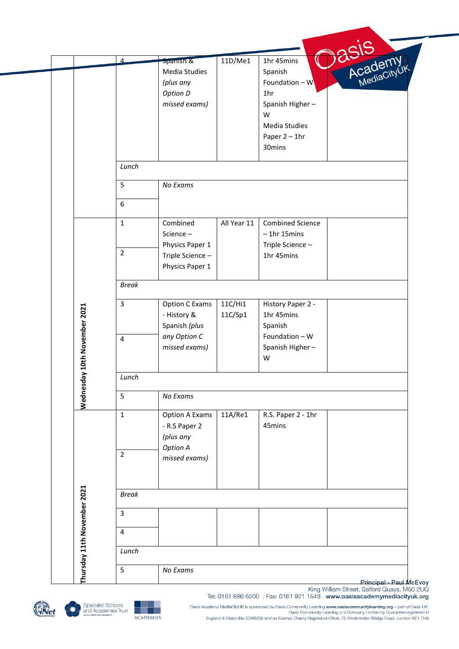|                             | $\Delta$       | Spanish &             | 11D/Me1     | 1hr 45mins              | Academy<br>Academy |
|-----------------------------|----------------|-----------------------|-------------|-------------------------|--------------------|
|                             |                | Media Studies         |             | Spanish                 |                    |
|                             |                | (plus any             |             | Foundation $-W$         |                    |
|                             |                | Option D              |             | 1 <sub>hr</sub>         |                    |
|                             |                | missed exams)         |             | Spanish Higher-         |                    |
|                             |                |                       |             | W                       |                    |
|                             |                |                       |             | Media Studies           |                    |
|                             |                |                       |             | Paper $2 - 1$ hr        |                    |
|                             |                |                       |             | 30mins                  |                    |
|                             | Lunch          |                       |             |                         |                    |
|                             | 5              | No Exams              |             |                         |                    |
|                             | 6              |                       |             |                         |                    |
|                             | $\mathbf{1}$   | Combined              | All Year 11 | <b>Combined Science</b> |                    |
|                             |                | Science-              |             | $-1$ hr 15 $m$ ins      |                    |
|                             |                | Physics Paper 1       |             | Triple Science-         |                    |
|                             | $\overline{2}$ | Triple Science-       |             | 1hr 45mins              |                    |
|                             |                | Physics Paper 1       |             |                         |                    |
|                             | <b>Break</b>   |                       |             |                         |                    |
|                             | 3              | <b>Option C Exams</b> | 11C/Hi1     | History Paper 2 -       |                    |
|                             |                | - History &           | 11C/Sp1     | 1hr 45mins              |                    |
|                             |                | Spanish (plus         |             | Spanish                 |                    |
|                             | $\overline{4}$ | any Option C          |             | Foundation - W          |                    |
|                             |                | missed exams)         |             | Spanish Higher-         |                    |
| ay 10th November 2021       |                |                       |             | W                       |                    |
|                             | Lunch          |                       |             |                         |                    |
| Wednesd                     | 5              | No Exams              |             |                         |                    |
|                             | $\mathbf{1}$   | <b>Option A Exams</b> | 11A/Re1     | R.S. Paper 2 - 1hr      |                    |
|                             |                | - R.S Paper 2         |             | 45mins                  |                    |
|                             |                | (plus any             |             |                         |                    |
|                             | $\overline{2}$ | Option A              |             |                         |                    |
|                             |                | missed exams)         |             |                         |                    |
|                             |                |                       |             |                         |                    |
|                             | <b>Break</b>   |                       |             |                         |                    |
|                             | $\overline{3}$ |                       |             |                         |                    |
| Thursday 11th November 2021 | $\overline{4}$ |                       |             |                         |                    |
|                             |                |                       |             |                         |                    |
|                             | Lunch          |                       |             |                         |                    |

King William Street, Salford Quays, M50 2UQ Tel: 0161 886 6500 . Fax: 0161 921 1543 . www.oasisacademymediacityuk.org